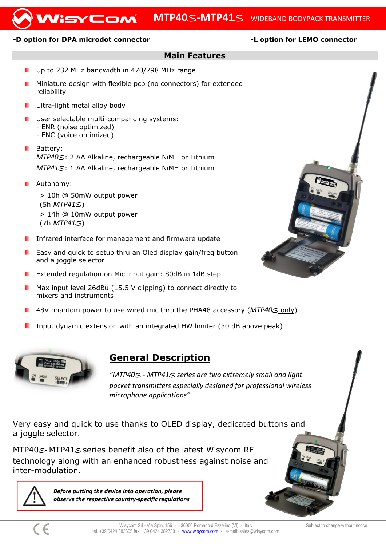#### WisyCom **MTP40**S**‐MTP41**S WIDEBAND BODYPACK TRANSMITTER

### -D option for DPA microdot connector **-L** option for LEMO connector

### **Main Features**

- Up to 232 MHz bandwidth in 470/798 MHz range
- Miniature design with flexible pcb (no connectors) for extended reliability
- Ultra-light metal alloy body
- User selectable multi-companding systems:
	- ENR (noise optimized)
	- ENC (voice optimized)
- **Battery:** *MTP40*S: 2 AA Alkaline, rechargeable NiMH or Lithium *MTP41*S: 1 AA Alkaline, rechargeable NiMH or Lithium
- **Autonomy:** > 10h @ 50mW output power (5h *MTP41*S) > 14h @ 10mW output power (7h *MTP41*S)
- **I** Infrared interface for management and firmware update
- Easy and quick to setup thru an Oled display gain/freq button and a joggle selector
- Extended regulation on Mic input gain: 80dB in 1dB step
- Max input level 26dBu (15.5 V clipping) to connect directly to mixers and instruments
- 48V phantom power to use wired mic thru the PHA48 accessory (*MTP40*S only)
- Input dynamic extension with an integrated HW limiter (30 dB above peak)



## **General Description**

*"MTP40*S *‐ MTP41*S *series are two extremely small and light pocket transmitters especially designed for professional wireless microphone applications"*

Very easy and quick to use thanks to OLED display, dedicated buttons and a joggle selector.

MTP40S*‐ MTP41*S series benefit also of the latest Wisycom RF technology along with an enhanced robustness against noise and inter-modulation.



*Before putting the device into operation, please observe the respective country‐specific regulations*